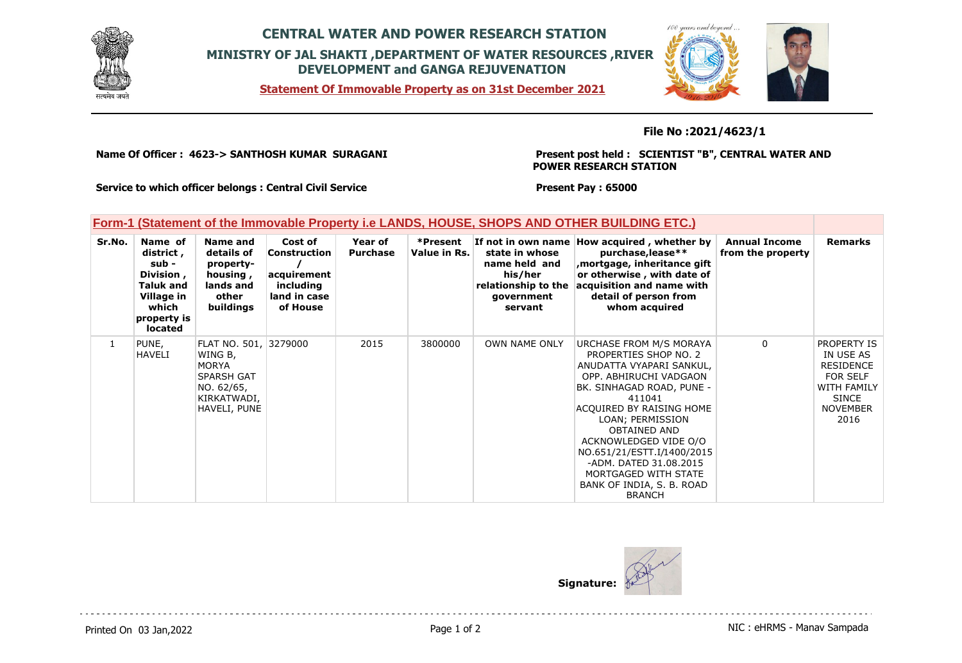

## **CENTRAL WATER AND POWER RESEARCH STATION MINISTRY OF JAL SHAKTI ,DEPARTMENT OF WATER RESOURCES ,RIVER DEVELOPMENT and GANGA REJUVENATION**

**Statement Of Immovable Property as on 31st December 2021**



**File No :2021/4623/1**

**Name Of Officer : 4623-> SANTHOSH KUMAR SURAGANI** 

**Present post held : SCIENTIST "B", CENTRAL WATER AND POWER RESEARCH STATION**

 $100$ 

**Service to which officer belongs : Central Civil Service**

**Present Pay : 65000**

## **Form-1 (Statement of the Immovable Property i.e LANDS, HOUSE, SHOPS AND OTHER BUILDING ETC.)**

| Sr.No.       | Name of<br>district ,<br>sub -<br>Division,<br><b>Taluk and</b><br>Village in<br>which<br>property is<br><b>located</b> | Name and<br>details of<br>property-<br>housing,<br>lands and<br>other<br>buildings                                 | Cost of<br>Construction<br>acquirement<br>including<br>land in case<br>of House | Year of<br><b>Purchase</b> | *Present<br>Value in Rs. | state in whose<br>name held and<br>his/her<br>relationship to the<br>government<br>servant | If not in own name How acquired, whether by<br>purchase, lease**<br>, mortgage, inheritance gift<br>or otherwise, with date of<br>acquisition and name with<br>detail of person from<br>whom acquired                                                                                                                                                                       | <b>Annual Income</b><br>from the property | <b>Remarks</b>                                                                                                                          |
|--------------|-------------------------------------------------------------------------------------------------------------------------|--------------------------------------------------------------------------------------------------------------------|---------------------------------------------------------------------------------|----------------------------|--------------------------|--------------------------------------------------------------------------------------------|-----------------------------------------------------------------------------------------------------------------------------------------------------------------------------------------------------------------------------------------------------------------------------------------------------------------------------------------------------------------------------|-------------------------------------------|-----------------------------------------------------------------------------------------------------------------------------------------|
| $\mathbf{1}$ | PUNE,<br>HAVELI                                                                                                         | FLAT NO. 501, 3279000<br>WING B,<br><b>MORYA</b><br><b>SPARSH GAT</b><br>NO. 62/65,<br>KIRKATWADI,<br>HAVELI, PUNE |                                                                                 | 2015                       | 3800000                  | <b>OWN NAME ONLY</b>                                                                       | URCHASE FROM M/S MORAYA<br>PROPERTIES SHOP NO. 2<br>ANUDATTA VYAPARI SANKUL,<br>OPP. ABHIRUCHI VADGAON<br>BK. SINHAGAD ROAD, PUNE -<br>411041<br>ACQUIRED BY RAISING HOME<br>LOAN; PERMISSION<br><b>OBTAINED AND</b><br>ACKNOWLEDGED VIDE O/O<br>NO.651/21/ESTT.I/1400/2015<br>-ADM. DATED 31.08.2015<br>MORTGAGED WITH STATE<br>BANK OF INDIA, S. B. ROAD<br><b>BRANCH</b> | $\mathbf{0}$                              | <b>PROPERTY IS</b><br>IN USE AS<br><b>RESIDENCE</b><br><b>FOR SELF</b><br><b>WITH FAMILY</b><br><b>SINCE</b><br><b>NOVEMBER</b><br>2016 |